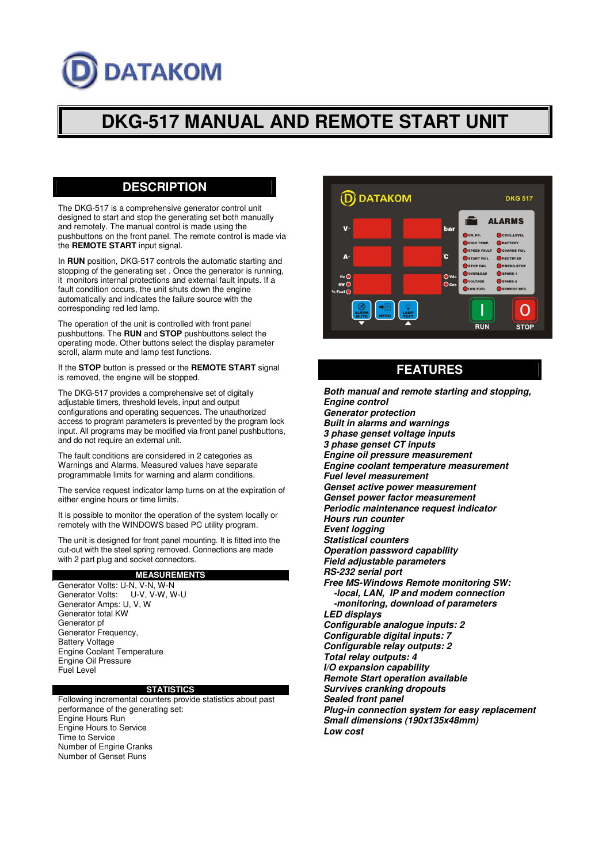# **DATAKOM**

# **DKG-517 MANUAL AND REMOTE START UNIT**

### **DESCRIPTION**

The DKG-517 is a comprehensive generator control unit designed to start and stop the generating set both manually and remotely. The manual control is made using the pushbuttons on the front panel. The remote control is made via the **REMOTE START** input signal.

In **RUN** position, DKG-517 controls the automatic starting and stopping of the generating set . Once the generator is running, it monitors internal protections and external fault inputs. If a fault condition occurs, the unit shuts down the engine automatically and indicates the failure source with the corresponding red led lamp.

The operation of the unit is controlled with front panel pushbuttons. The **RUN** and **STOP** pushbuttons select the operating mode. Other buttons select the display parameter scroll, alarm mute and lamp test functions.

If the **STOP** button is pressed or the **REMOTE START** signal is removed, the engine will be stopped.

The DKG-517 provides a comprehensive set of digitally adjustable timers, threshold levels, input and output configurations and operating sequences. The unauthorized access to program parameters is prevented by the program lock input. All programs may be modified via front panel pushbuttons, and do not require an external unit.

The fault conditions are considered in 2 categories as Warnings and Alarms. Measured values have separate programmable limits for warning and alarm conditions.

The service request indicator lamp turns on at the expiration of either engine hours or time limits.

It is possible to monitor the operation of the system locally or remotely with the WINDOWS based PC utility program.

The unit is designed for front panel mounting. It is fitted into the cut-out with the steel spring removed. Connections are made with 2 part plug and socket connectors.

#### **MEASUREMENTS**

Generator Volts: U-N, V-N, W-N<br>Generator Volts: U-V, V-W, W-U Generator Volts: Generator Amps: U, V, W Generator total KW Generator pf Generator Frequency, Battery Voltage Engine Coolant Temperature Engine Oil Pressure Fuel Level

#### **STATISTICS**

Following incremental counters provide statistics about past performance of the generating set: Engine Hours Run Engine Hours to Service Time to Service Number of Engine Cranks Number of Genset Runs



# **FEATURES**

*Both manual and remote starting and stopping, Engine control Generator protection Built in alarms and warnings 3 phase genset voltage inputs 3 phase genset CT inputs Engine oil pressure measurement Engine coolant temperature measurement Fuel level measurement Genset active power measurement Genset power factor measurement Periodic maintenance request indicator Hours run counter Event logging Statistical counters Operation password capability Field adjustable parameters RS-232 serial port Free MS-Windows Remote monitoring SW: -local, LAN, IP and modem connection -monitoring, download of parameters LED displays Configurable analogue inputs: 2 Configurable digital inputs: 7 Configurable relay outputs: 2 Total relay outputs: 4 I/O expansion capability Remote Start operation available Survives cranking dropouts Sealed front panel Plug-in connection system for easy replacement Small dimensions (190x135x48mm) Low cost*